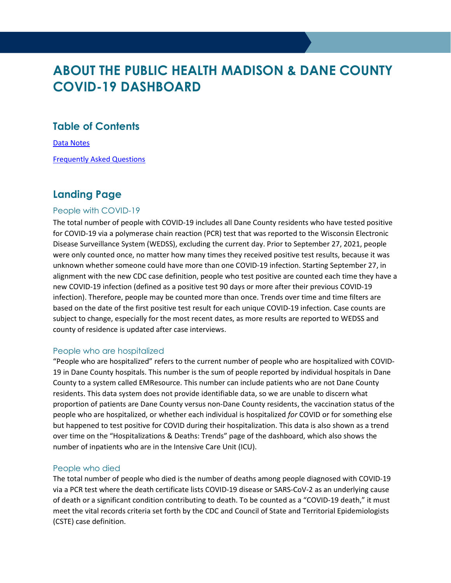# ABOUT THE PUBLIC HEALTH MADISON & DANE COUNTY COVID-19 DASHBOARD

### Table of Contents

Data Notes

Frequently Asked Questions

### Landing Page

### People with COVID-19

The total number of people with COVID-19 includes all Dane County residents who have tested positive for COVID-19 via a polymerase chain reaction (PCR) test that was reported to the Wisconsin Electronic Disease Surveillance System (WEDSS), excluding the current day. Prior to September 27, 2021, people were only counted once, no matter how many times they received positive test results, because it was unknown whether someone could have more than one COVID-19 infection. Starting September 27, in alignment with the new CDC case definition, people who test positive are counted each time they have a new COVID-19 infection (defined as a positive test 90 days or more after their previous COVID-19 infection). Therefore, people may be counted more than once. Trends over time and time filters are based on the date of the first positive test result for each unique COVID-19 infection. Case counts are subject to change, especially for the most recent dates, as more results are reported to WEDSS and county of residence is updated after case interviews.

#### People who are hospitalized

"People who are hospitalized" refers to the current number of people who are hospitalized with COVID-19 in Dane County hospitals. This number is the sum of people reported by individual hospitals in Dane County to a system called EMResource. This number can include patients who are not Dane County residents. This data system does not provide identifiable data, so we are unable to discern what proportion of patients are Dane County versus non-Dane County residents, the vaccination status of the people who are hospitalized, or whether each individual is hospitalized for COVID or for something else but happened to test positive for COVID during their hospitalization. This data is also shown as a trend over time on the "Hospitalizations & Deaths: Trends" page of the dashboard, which also shows the number of inpatients who are in the Intensive Care Unit (ICU).

#### People who died

The total number of people who died is the number of deaths among people diagnosed with COVID-19 via a PCR test where the death certificate lists COVID-19 disease or SARS-CoV-2 as an underlying cause of death or a significant condition contributing to death. To be counted as a "COVID-19 death," it must meet the vital records criteria set forth by the CDC and Council of State and Territorial Epidemiologists (CSTE) case definition.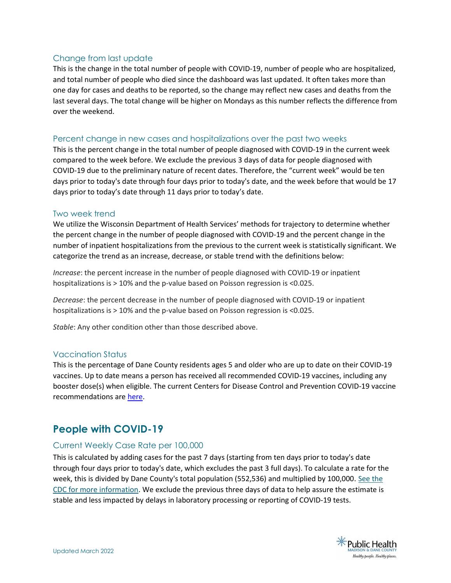### Change from last update

This is the change in the total number of people with COVID-19, number of people who are hospitalized, and total number of people who died since the dashboard was last updated. It often takes more than one day for cases and deaths to be reported, so the change may reflect new cases and deaths from the last several days. The total change will be higher on Mondays as this number reflects the difference from over the weekend.

#### Percent change in new cases and hospitalizations over the past two weeks

This is the percent change in the total number of people diagnosed with COVID-19 in the current week compared to the week before. We exclude the previous 3 days of data for people diagnosed with COVID-19 due to the preliminary nature of recent dates. Therefore, the "current week" would be ten days prior to today's date through four days prior to today's date, and the week before that would be 17 days prior to today's date through 11 days prior to today's date.

#### Two week trend

We utilize the Wisconsin Department of Health Services' methods for trajectory to determine whether the percent change in the number of people diagnosed with COVID-19 and the percent change in the number of inpatient hospitalizations from the previous to the current week is statistically significant. We categorize the trend as an increase, decrease, or stable trend with the definitions below:

Increase: the percent increase in the number of people diagnosed with COVID-19 or inpatient hospitalizations is > 10% and the p-value based on Poisson regression is <0.025.

Decrease: the percent decrease in the number of people diagnosed with COVID-19 or inpatient hospitalizations is > 10% and the p-value based on Poisson regression is <0.025.

Stable: Any other condition other than those described above.

#### Vaccination Status

This is the percentage of Dane County residents ages 5 and older who are up to date on their COVID-19 vaccines. Up to date means a person has received all recommended COVID-19 vaccines, including any booster dose(s) when eligible. The current Centers for Disease Control and Prevention COVID-19 vaccine recommendations are here.

### People with COVID-19

### Current Weekly Case Rate per 100,000

This is calculated by adding cases for the past 7 days (starting from ten days prior to today's date through four days prior to today's date, which excludes the past 3 full days). To calculate a rate for the week, this is divided by Dane County's total population (552,536) and multiplied by 100,000. See the CDC for more information. We exclude the previous three days of data to help assure the estimate is stable and less impacted by delays in laboratory processing or reporting of COVID-19 tests.

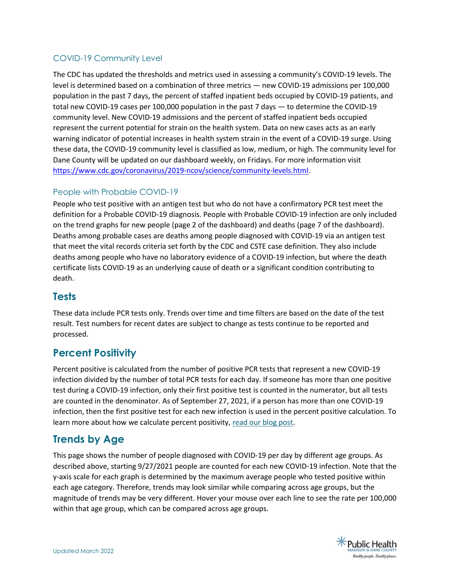### COVID-19 Community Level

The CDC has updated the thresholds and metrics used in assessing a community's COVID-19 levels. The level is determined based on a combination of three metrics — new COVID-19 admissions per 100,000 population in the past 7 days, the percent of staffed inpatient beds occupied by COVID-19 patients, and total new COVID-19 cases per 100,000 population in the past 7 days — to determine the COVID-19 community level. New COVID-19 admissions and the percent of staffed inpatient beds occupied represent the current potential for strain on the health system. Data on new cases acts as an early warning indicator of potential increases in health system strain in the event of a COVID-19 surge. Using these data, the COVID-19 community level is classified as low, medium, or high. The community level for Dane County will be updated on our dashboard weekly, on Fridays. For more information visit https://www.cdc.gov/coronavirus/2019-ncov/science/community-levels.html.

### People with Probable COVID-19

People who test positive with an antigen test but who do not have a confirmatory PCR test meet the definition for a Probable COVID-19 diagnosis. People with Probable COVID-19 infection are only included on the trend graphs for new people (page 2 of the dashboard) and deaths (page 7 of the dashboard). Deaths among probable cases are deaths among people diagnosed with COVID-19 via an antigen test that meet the vital records criteria set forth by the CDC and CSTE case definition. They also include deaths among people who have no laboratory evidence of a COVID-19 infection, but where the death certificate lists COVID-19 as an underlying cause of death or a significant condition contributing to death.

### **Tests**

These data include PCR tests only. Trends over time and time filters are based on the date of the test result. Test numbers for recent dates are subject to change as tests continue to be reported and processed.

### Percent Positivity

Percent positive is calculated from the number of positive PCR tests that represent a new COVID-19 infection divided by the number of total PCR tests for each day. If someone has more than one positive test during a COVID-19 infection, only their first positive test is counted in the numerator, but all tests are counted in the denominator. As of September 27, 2021, if a person has more than one COVID-19 infection, then the first positive test for each new infection is used in the percent positive calculation. To learn more about how we calculate percent positivity, read our blog post.

### Trends by Age

This page shows the number of people diagnosed with COVID-19 per day by different age groups. As described above, starting 9/27/2021 people are counted for each new COVID-19 infection. Note that the y-axis scale for each graph is determined by the maximum average people who tested positive within each age category. Therefore, trends may look similar while comparing across age groups, but the magnitude of trends may be very different. Hover your mouse over each line to see the rate per 100,000 within that age group, which can be compared across age groups.

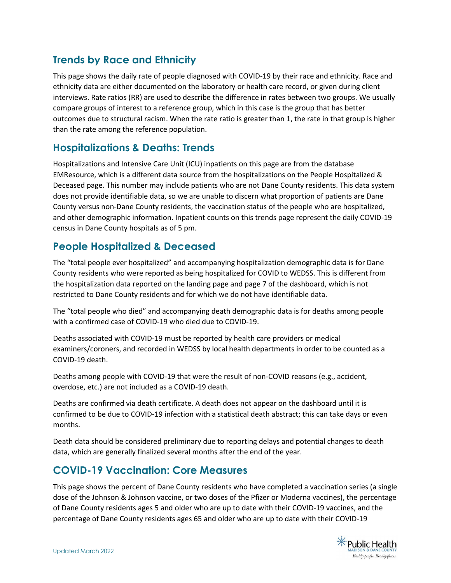# Trends by Race and Ethnicity

This page shows the daily rate of people diagnosed with COVID-19 by their race and ethnicity. Race and ethnicity data are either documented on the laboratory or health care record, or given during client interviews. Rate ratios (RR) are used to describe the difference in rates between two groups. We usually compare groups of interest to a reference group, which in this case is the group that has better outcomes due to structural racism. When the rate ratio is greater than 1, the rate in that group is higher than the rate among the reference population.

### Hospitalizations & Deaths: Trends

Hospitalizations and Intensive Care Unit (ICU) inpatients on this page are from the database EMResource, which is a different data source from the hospitalizations on the People Hospitalized & Deceased page. This number may include patients who are not Dane County residents. This data system does not provide identifiable data, so we are unable to discern what proportion of patients are Dane County versus non-Dane County residents, the vaccination status of the people who are hospitalized, and other demographic information. Inpatient counts on this trends page represent the daily COVID-19 census in Dane County hospitals as of 5 pm.

# People Hospitalized & Deceased

The "total people ever hospitalized" and accompanying hospitalization demographic data is for Dane County residents who were reported as being hospitalized for COVID to WEDSS. This is different from the hospitalization data reported on the landing page and page 7 of the dashboard, which is not restricted to Dane County residents and for which we do not have identifiable data.

The "total people who died" and accompanying death demographic data is for deaths among people with a confirmed case of COVID-19 who died due to COVID-19.

Deaths associated with COVID-19 must be reported by health care providers or medical examiners/coroners, and recorded in WEDSS by local health departments in order to be counted as a COVID-19 death.

Deaths among people with COVID-19 that were the result of non-COVID reasons (e.g., accident, overdose, etc.) are not included as a COVID-19 death.

Deaths are confirmed via death certificate. A death does not appear on the dashboard until it is confirmed to be due to COVID-19 infection with a statistical death abstract; this can take days or even months.

Death data should be considered preliminary due to reporting delays and potential changes to death data, which are generally finalized several months after the end of the year.

# COVID-19 Vaccination: Core Measures

This page shows the percent of Dane County residents who have completed a vaccination series (a single dose of the Johnson & Johnson vaccine, or two doses of the Pfizer or Moderna vaccines), the percentage of Dane County residents ages 5 and older who are up to date with their COVID-19 vaccines, and the percentage of Dane County residents ages 65 and older who are up to date with their COVID-19

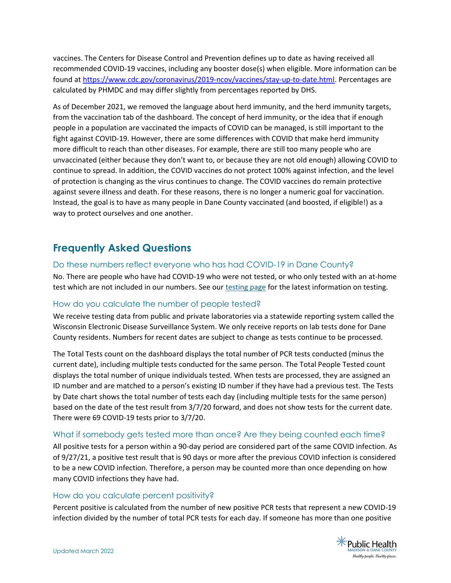vaccines. The Centers for Disease Control and Prevention defines up to date as having received all recommended COVID-19 vaccines, including any booster dose(s) when eligible. More information can be found at https://www.cdc.gov/coronavirus/2019-ncov/vaccines/stay-up-to-date.html. Percentages are calculated by PHMDC and may differ slightly from percentages reported by DHS.

As of December 2021, we removed the language about herd immunity, and the herd immunity targets, from the vaccination tab of the dashboard. The concept of herd immunity, or the idea that if enough people in a population are vaccinated the impacts of COVID can be managed, is still important to the fight against COVID-19. However, there are some differences with COVID that make herd immunity more difficult to reach than other diseases. For example, there are still too many people who are unvaccinated (either because they don't want to, or because they are not old enough) allowing COVID to continue to spread. In addition, the COVID vaccines do not protect 100% against infection, and the level of protection is changing as the virus continues to change. The COVID vaccines do remain protective against severe illness and death. For these reasons, there is no longer a numeric goal for vaccination. Instead, the goal is to have as many people in Dane County vaccinated (and boosted, if eligible!) as a way to protect ourselves and one another.

## Frequently Asked Questions

#### Do these numbers reflect everyone who has had COVID-19 in Dane County?

No. There are people who have had COVID-19 who were not tested, or who only tested with an at-home test which are not included in our numbers. See our **testing page for the latest information** on testing.

### How do you calculate the number of people tested?

We receive testing data from public and private laboratories via a statewide reporting system called the Wisconsin Electronic Disease Surveillance System. We only receive reports on lab tests done for Dane County residents. Numbers for recent dates are subject to change as tests continue to be processed.

The Total Tests count on the dashboard displays the total number of PCR tests conducted (minus the current date), including multiple tests conducted for the same person. The Total People Tested count displays the total number of unique individuals tested. When tests are processed, they are assigned an ID number and are matched to a person's existing ID number if they have had a previous test. The Tests by Date chart shows the total number of tests each day (including multiple tests for the same person) based on the date of the test result from 3/7/20 forward, and does not show tests for the current date. There were 69 COVID-19 tests prior to 3/7/20.

### What if somebody gets tested more than once? Are they being counted each time?

All positive tests for a person within a 90-day period are considered part of the same COVID infection. As of 9/27/21, a positive test result that is 90 days or more after the previous COVID infection is considered to be a new COVID infection. Therefore, a person may be counted more than once depending on how many COVID infections they have had.

#### How do you calculate percent positivity?

Percent positive is calculated from the number of new positive PCR tests that represent a new COVID-19 infection divided by the number of total PCR tests for each day. If someone has more than one positive

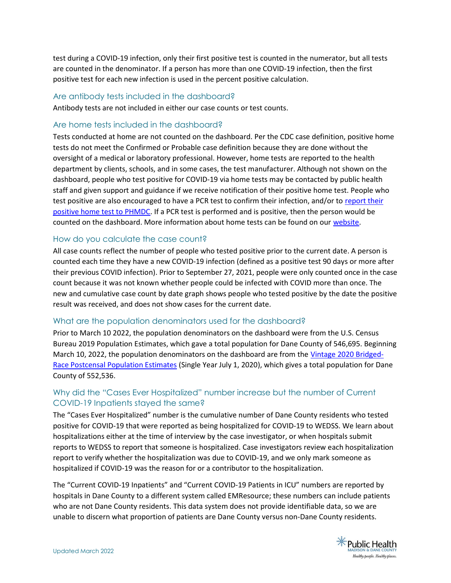test during a COVID-19 infection, only their first positive test is counted in the numerator, but all tests are counted in the denominator. If a person has more than one COVID-19 infection, then the first positive test for each new infection is used in the percent positive calculation.

#### Are antibody tests included in the dashboard?

Antibody tests are not included in either our case counts or test counts.

#### Are home tests included in the dashboard?

Tests conducted at home are not counted on the dashboard. Per the CDC case definition, positive home tests do not meet the Confirmed or Probable case definition because they are done without the oversight of a medical or laboratory professional. However, home tests are reported to the health department by clients, schools, and in some cases, the test manufacturer. Although not shown on the dashboard, people who test positive for COVID-19 via home tests may be contacted by public health staff and given support and guidance if we receive notification of their positive home test. People who test positive are also encouraged to have a PCR test to confirm their infection, and/or to report their positive home test to PHMDC. If a PCR test is performed and is positive, then the person would be counted on the dashboard. More information about home tests can be found on our website.

#### How do you calculate the case count?

All case counts reflect the number of people who tested positive prior to the current date. A person is counted each time they have a new COVID-19 infection (defined as a positive test 90 days or more after their previous COVID infection). Prior to September 27, 2021, people were only counted once in the case count because it was not known whether people could be infected with COVID more than once. The new and cumulative case count by date graph shows people who tested positive by the date the positive result was received, and does not show cases for the current date.

#### What are the population denominators used for the dashboard?

Prior to March 10 2022, the population denominators on the dashboard were from the U.S. Census Bureau 2019 Population Estimates, which gave a total population for Dane County of 546,695. Beginning March 10, 2022, the population denominators on the dashboard are from the Vintage 2020 Bridged-Race Postcensal Population Estimates (Single Year July 1, 2020), which gives a total population for Dane County of 552,536.

### Why did the "Cases Ever Hospitalized" number increase but the number of Current COVID-19 Inpatients stayed the same?

The "Cases Ever Hospitalized" number is the cumulative number of Dane County residents who tested positive for COVID-19 that were reported as being hospitalized for COVID-19 to WEDSS. We learn about hospitalizations either at the time of interview by the case investigator, or when hospitals submit reports to WEDSS to report that someone is hospitalized. Case investigators review each hospitalization report to verify whether the hospitalization was due to COVID-19, and we only mark someone as hospitalized if COVID-19 was the reason for or a contributor to the hospitalization.

The "Current COVID-19 Inpatients" and "Current COVID-19 Patients in ICU" numbers are reported by hospitals in Dane County to a different system called EMResource; these numbers can include patients who are not Dane County residents. This data system does not provide identifiable data, so we are unable to discern what proportion of patients are Dane County versus non-Dane County residents.